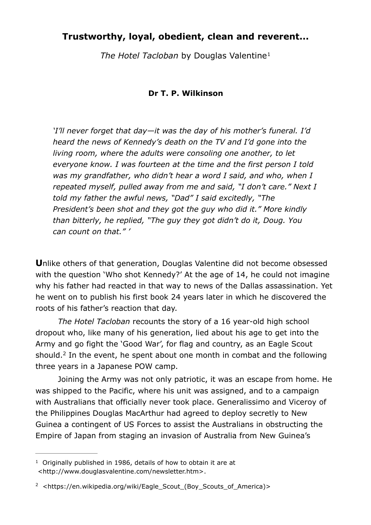## **Trustworthy, loyal, obedient, clean and reverent...**

*The Hotel Tacloban* by Douglas Valentine[1](#page-0-0)

## <span id="page-0-2"></span>**Dr T. P. Wilkinson**

*'I'll never forget that day—it was the day of his mother's funeral. I'd heard the news of Kennedy's death on the TV and I'd gone into the living room, where the adults were consoling one another, to let everyone know. I was fourteen at the time and the first person I told was my grandfather, who didn't hear a word I said, and who, when I repeated myself, pulled away from me and said, "I don't care." Next I told my father the awful news, "Dad" I said excitedly, "The President's been shot and they got the guy who did it." More kindly than bitterly, he replied, "The guy they got didn't do it, Doug. You can count on that." '* 

**U**nlike others of that generation, Douglas Valentine did not become obsessed with the question 'Who shot Kennedy?' At the age of 14, he could not imagine why his father had reacted in that way to news of the Dallas assassination. Yet he went on to publish his first book 24 years later in which he discovered the roots of his father's reaction that day.

*The Hotel Tacloban* recounts the story of a 16 year-old high school dropout who, like many of his generation, lied about his age to get into the Army and go fight the 'Good War', for flag and country, as an Eagle Scout should.<sup>2</sup>In the event, he spent about one month in combat and the following three years in a Japanese POW camp.

<span id="page-0-3"></span> Joining the Army was not only patriotic, it was an escape from home. He was shipped to the Pacific, where his unit was assigned, and to a campaign with Australians that officially never took place. Generalissimo and Viceroy of the Philippines Douglas MacArthur had agreed to deploy secretly to New Guinea a contingent of US Forces to assist the Australians in obstructing the Empire of Japan from staging an invasion of Australia from New Guinea's

<span id="page-0-0"></span> $1$  Originally published in 1986, details of how to obtain it are at <http://www.douglasvalentine.com/newsletter.htm>.

<span id="page-0-1"></span>[<sup>2</sup>](#page-0-3) [<https://en.wikipedia.org/wiki/Eagle\\_Scout\\_\(Boy\\_Scouts\\_of\\_America\)](https://en.wikipedia.org/wiki/Eagle_Scout_(Boy_Scouts_of_America))>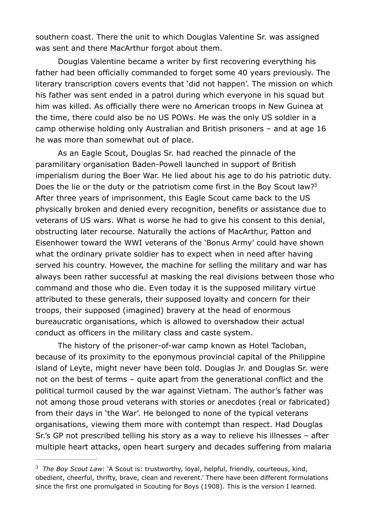southern coast. There the unit to which Douglas Valentine Sr. was assigned was sent and there MacArthur forgot about them.

 Douglas Valentine became a writer by first recovering everything his father had been officially commanded to forget some 40 years previously. The literary transcription covers events that 'did not happen'. The mission on which his father was sent ended in a patrol during which everyone in his squad but him was killed. As officially there were no American troops in New Guinea at the time, there could also be no US POWs. He was the only US soldier in a camp otherwise holding only Australian and British prisoners – and at age 16 he was more than somewhat out of place.

<span id="page-1-1"></span> As an Eagle Scout, Douglas Sr. had reached the pinnacle of the paramilitary organisation Baden-Powell launched in support of British imperialism during the Boer War. He lied about his age to do his patriotic duty. Does the lie or the duty or the patriotism come first in the Boy Scout law?<sup>3</sup> After three years of imprisonment, this Eagle Scout came back to the US physically broken and denied every recognition, benefits or assistance due to veterans of US wars. What is worse he had to give his consent to this denial, obstructing later recourse. Naturally the actions of MacArthur, Patton and Eisenhower toward the WWI veterans of the 'Bonus Army' could have shown what the ordinary private soldier has to expect when in need after having served his country. However, the machine for selling the military and war has always been rather successful at masking the real divisions between those who command and those who die. Even today it is the supposed military virtue attributed to these generals, their supposed loyalty and concern for their troops, their supposed (imagined) bravery at the head of enormous bureaucratic organisations, which is allowed to overshadow their actual conduct as officers in the military class and caste system.

 The history of the prisoner-of-war camp known as Hotel Tacloban, because of its proximity to the eponymous provincial capital of the Philippine island of Leyte, might never have been told. Douglas Jr. and Douglas Sr. were not on the best of terms – quite apart from the generational conflict and the political turmoil caused by the war against Vietnam. The author's father was not among those proud veterans with stories or anecdotes (real or fabricated) from their days in 'the War'. He belonged to none of the typical veterans organisations, viewing them more with contempt than respect. Had Douglas Sr.'s GP not prescribed telling his story as a way to relieve his illnesses – after multiple heart attacks, open heart surgery and decades suffering from malaria

<span id="page-1-0"></span><sup>&</sup>lt;sup>[3](#page-1-1)</sup> The Boy Scout Law: 'A Scout is: trustworthy, loyal, helpful, friendly, courteous, kind, obedient, cheerful, thrifty, brave, clean and reverent.' There have been different formulations since the first one promulgated in Scouting for Boys (1908). This is the version I learned.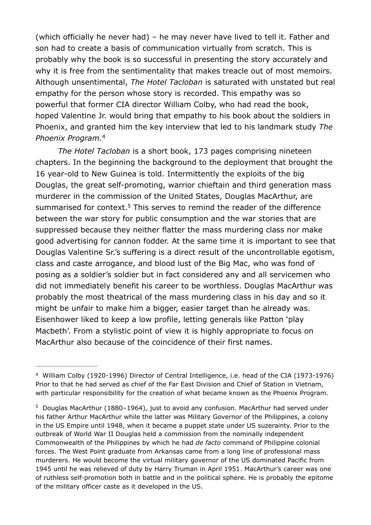(which officially he never had) – he may never have lived to tell it. Father and son had to create a basis of communication virtually from scratch. This is probably why the book is so successful in presenting the story accurately and why it is free from the sentimentality that makes treacle out of most memoirs. Although unsentimental, *The Hotel Tacloban* is saturated with unstated but real empathy for the person whose story is recorded. This empathy was so powerful that former CIA director William Colby, who had read the book, hoped Valentine Jr. would bring that empathy to his book about the soldiers in Phoenix, and granted him the key interview that led to his landmark study *The Phoenix Program.*[4](#page-2-0)

<span id="page-2-3"></span><span id="page-2-2"></span>*The Hotel Tacloban* is a short book, 173 pages comprising nineteen chapters. In the beginning the background to the deployment that brought the 16 year-old to New Guinea is told. Intermittently the exploits of the big Douglas, the great self-promoting, warrior chieftain and third generation mass murderer in the commission of the United States, Douglas MacArthur, are summarised for context.<sup>[5](#page-2-1)</sup> This serves to remind the reader of the difference between the war story for public consumption and the war stories that are suppressed because they neither flatter the mass murdering class nor make good advertising for cannon fodder. At the same time it is important to see that Douglas Valentine Sr.'s suffering is a direct result of the uncontrollable egotism, class and caste arrogance, and blood lust of the Big Mac, who was fond of posing as a soldier's soldier but in fact considered any and all servicemen who did not immediately benefit his career to be worthless. Douglas MacArthur was probably the most theatrical of the mass murdering class in his day and so it might be unfair to make him a bigger, easier target than he already was. Eisenhower liked to keep a low profile, letting generals like Patton 'play Macbeth'. From a stylistic point of view it is highly appropriate to focus on MacArthur also because of the coincidence of their first names.

<span id="page-2-0"></span>William Colby (1920-1996) Director of Central Intelligence, i.e. head of the CIA (1973-1976) [4](#page-2-2) Prior to that he had served as chief of the Far East Division and Chief of Station in Vietnam, with particular responsibility for the creation of what became known as the Phoenix Program.

<span id="page-2-1"></span> $5$  Douglas MacArthur (1880–1964), just to avoid any confusion. MacArthur had served under his father Arthur MacArthur while the latter was Military Governor of the Philippines, a colony in the US Empire until 1948, when it became a puppet state under US suzerainty. Prior to the outbreak of World War II Douglas held a commission from the nominally independent Commonwealth of the Philippines by which he had *de facto* command of Philippine colonial forces. The West Point graduate from Arkansas came from a long line of professional mass murderers. He would become the virtual military governor of the US dominated Pacific from 1945 until he was relieved of duty by Harry Truman in April 1951. MacArthur's career was one of ruthless self-promotion both in battle and in the political sphere. He is probably the epitome of the military officer caste as it developed in the US.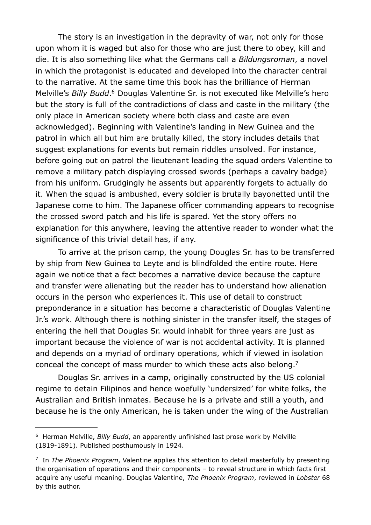<span id="page-3-2"></span> The story is an investigation in the depravity of war, not only for those upon whom it is waged but also for those who are just there to obey, kill and die. It is also something like what the Germans call a *Bildungsroman*, a novel in which the protagonist is educated and developed into the character central to the narrative. At the same time this book has the brilliance of Herman Melville's *Billy Budd*.<sup>[6](#page-3-0)</sup> Douglas Valentine Sr. is not executed like Melville's hero but the story is full of the contradictions of class and caste in the military (the only place in American society where both class and caste are even acknowledged). Beginning with Valentine's landing in New Guinea and the patrol in which all but him are brutally killed, the story includes details that suggest explanations for events but remain riddles unsolved. For instance, before going out on patrol the lieutenant leading the squad orders Valentine to remove a military patch displaying crossed swords (perhaps a cavalry badge) from his uniform. Grudgingly he assents but apparently forgets to actually do it. When the squad is ambushed, every soldier is brutally bayonetted until the Japanese come to him. The Japanese officer commanding appears to recognise the crossed sword patch and his life is spared. Yet the story offers no explanation for this anywhere, leaving the attentive reader to wonder what the significance of this trivial detail has, if any.

 To arrive at the prison camp, the young Douglas Sr. has to be transferred by ship from New Guinea to Leyte and is blindfolded the entire route. Here again we notice that a fact becomes a narrative device because the capture and transfer were alienating but the reader has to understand how alienation occurs in the person who experiences it. This use of detail to construct preponderance in a situation has become a characteristic of Douglas Valentine Jr.'s work. Although there is nothing sinister in the transfer itself, the stages of entering the hell that Douglas Sr. would inhabit for three years are just as important because the violence of war is not accidental activity. It is planned and depends on a myriad of ordinary operations, which if viewed in isolation conceal the concept of mass murder to which these acts also belong.<sup>7</sup>

<span id="page-3-3"></span> Douglas Sr. arrives in a camp, originally constructed by the US colonial regime to detain Filipinos and hence woefully 'undersized' for white folks, the Australian and British inmates. Because he is a private and still a youth, and because he is the only American, he is taken under the wing of the Australian

<span id="page-3-0"></span><sup>&</sup>lt;sup>[6](#page-3-2)</sup> Herman Melville, *Billy Budd*, an apparently unfinished last prose work by Melville (1819-1891). Published posthumously in 1924.

<span id="page-3-1"></span><sup>&</sup>lt;sup>[7](#page-3-3)</sup> In *The Phoenix Program*, Valentine applies this attention to detail masterfully by presenting the organisation of operations and their components – to reveal structure in which facts first acquire any useful meaning. Douglas Valentine, *The Phoenix Program*, reviewed in *Lobster* 68 by this author.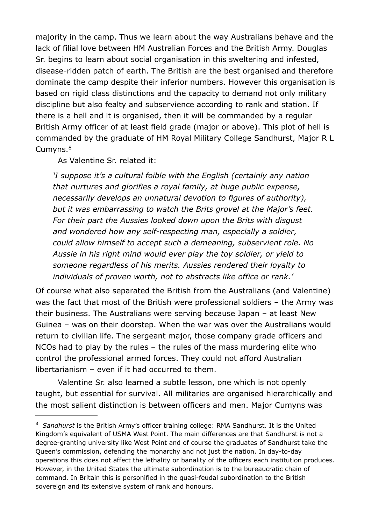majority in the camp. Thus we learn about the way Australians behave and the lack of filial love between HM Australian Forces and the British Army. Douglas Sr. begins to learn about social organisation in this sweltering and infested, disease-ridden patch of earth. The British are the best organised and therefore dominate the camp despite their inferior numbers. However this organisation is based on rigid class distinctions and the capacity to demand not only military discipline but also fealty and subservience according to rank and station. If there is a hell and it is organised, then it will be commanded by a regular British Army officer of at least field grade (major or above). This plot of hell is commanded by the graduate of HM Royal Military College Sandhurst, Major R L Cumvns.<sup>[8](#page-4-0)</sup>

<span id="page-4-1"></span>As Valentine Sr. related it:

*'I suppose it's a cultural foible with the English (certainly any nation that nurtures and glorifies a royal family, at huge public expense, necessarily develops an unnatural devotion to figures of authority), but it was embarrassing to watch the Brits grovel at the Major's feet. For their part the Aussies looked down upon the Brits with disgust and wondered how any self-respecting man, especially a soldier, could allow himself to accept such a demeaning, subservient role. No Aussie in his right mind would ever play the toy soldier, or yield to someone regardless of his merits. Aussies rendered their loyalty to individuals of proven worth, not to abstracts like office or rank.'* 

Of course what also separated the British from the Australians (and Valentine) was the fact that most of the British were professional soldiers – the Army was their business. The Australians were serving because Japan – at least New Guinea – was on their doorstep. When the war was over the Australians would return to civilian life. The sergeant major, those company grade officers and NCOs had to play by the rules – the rules of the mass murdering elite who control the professional armed forces. They could not afford Australian libertarianism – even if it had occurred to them.

 Valentine Sr. also learned a subtle lesson, one which is not openly taught, but essential for survival. All militaries are organised hierarchically and the most salient distinction is between officers and men. Major Cumyns was

<span id="page-4-0"></span><sup>&</sup>lt;sup>[8](#page-4-1)</sup> Sandhurst is the British Army's officer training college: RMA Sandhurst. It is the United Kingdom's equivalent of USMA West Point. The main differences are that Sandhurst is not a degree-granting university like West Point and of course the graduates of Sandhurst take the Queen's commission, defending the monarchy and not just the nation. In day-to-day operations this does not affect the lethality or banality of the officers each institution produces. However, in the United States the ultimate subordination is to the bureaucratic chain of command. In Britain this is personified in the quasi-feudal subordination to the British sovereign and its extensive system of rank and honours.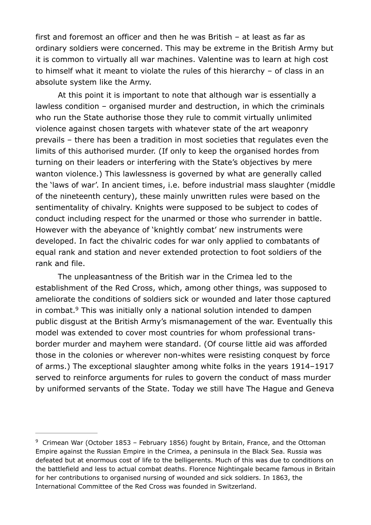first and foremost an officer and then he was British – at least as far as ordinary soldiers were concerned. This may be extreme in the British Army but it is common to virtually all war machines. Valentine was to learn at high cost to himself what it meant to violate the rules of this hierarchy – of class in an absolute system like the Army.

 At this point it is important to note that although war is essentially a lawless condition – organised murder and destruction, in which the criminals who run the State authorise those they rule to commit virtually unlimited violence against chosen targets with whatever state of the art weaponry prevails – there has been a tradition in most societies that regulates even the limits of this authorised murder. (If only to keep the organised hordes from turning on their leaders or interfering with the State's objectives by mere wanton violence.) This lawlessness is governed by what are generally called the 'laws of war'. In ancient times, i.e. before industrial mass slaughter (middle of the nineteenth century), these mainly unwritten rules were based on the sentimentality of chivalry. Knights were supposed to be subject to codes of conduct including respect for the unarmed or those who surrender in battle. However with the abeyance of 'knightly combat' new instruments were developed. In fact the chivalric codes for war only applied to combatants of equal rank and station and never extended protection to foot soldiers of the rank and file.

<span id="page-5-1"></span> The unpleasantness of the British war in the Crimea led to the establishment of the Red Cross, which, among other things, was supposed to ameliorate the conditions of soldiers sick or wounded and later those captured in combat. $9$  This was initially only a national solution intended to dampen public disgust at the British Army's mismanagement of the war. Eventually this model was extended to cover most countries for whom professional transborder murder and mayhem were standard. (Of course little aid was afforded those in the colonies or wherever non-whites were resisting conquest by force of arms.) The exceptional slaughter among white folks in the years 1914–1917 served to reinforce arguments for rules to govern the conduct of mass murder by uniformed servants of the State. Today we still have The Hague and Geneva

<span id="page-5-0"></span> $9$  Crimean War (October 1853 – February 1856) fought by Britain, France, and the Ottoman Empire against the Russian Empire in the Crimea, a peninsula in the Black Sea. Russia was defeated but at enormous cost of life to the belligerents. Much of this was due to conditions on the battlefield and less to actual combat deaths. Florence Nightingale became famous in Britain for her contributions to organised nursing of wounded and sick soldiers. In 1863, the International Committee of the Red Cross was founded in Switzerland.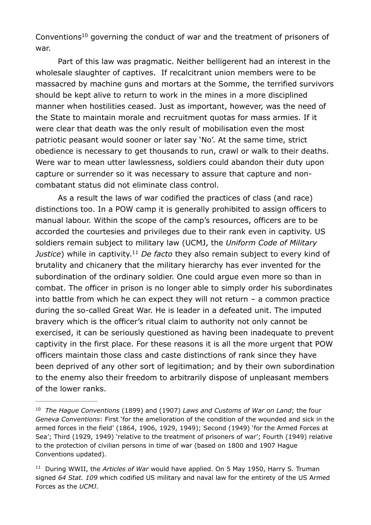<span id="page-6-2"></span>Conventions<sup>[10](#page-6-0)</sup> governing the conduct of war and the treatment of prisoners of war.

 Part of this law was pragmatic. Neither belligerent had an interest in the wholesale slaughter of captives. If recalcitrant union members were to be massacred by machine guns and mortars at the Somme, the terrified survivors should be kept alive to return to work in the mines in a more disciplined manner when hostilities ceased. Just as important, however, was the need of the State to maintain morale and recruitment quotas for mass armies. If it were clear that death was the only result of mobilisation even the most patriotic peasant would sooner or later say 'No'. At the same time, strict obedience is necessary to get thousands to run, crawl or walk to their deaths. Were war to mean utter lawlessness, soldiers could abandon their duty upon capture or surrender so it was necessary to assure that capture and noncombatant status did not eliminate class control.

<span id="page-6-3"></span> As a result the laws of war codified the practices of class (and race) distinctions too. In a POW camp it is generally prohibited to assign officers to manual labour. Within the scope of the camp's resources, officers are to be accorded the courtesies and privileges due to their rank even in captivity. US soldiers remain subject to military law (UCMJ, the *Uniform Code of Military Justice*) while in captivity.<sup>[11](#page-6-1)</sup> De facto they also remain subject to every kind of brutality and chicanery that the military hierarchy has ever invented for the subordination of the ordinary soldier. One could argue even more so than in combat. The officer in prison is no longer able to simply order his subordinates into battle from which he can expect they will not return – a common practice during the so-called Great War. He is leader in a defeated unit. The imputed bravery which is the officer's ritual claim to authority not only cannot be exercised, it can be seriously questioned as having been inadequate to prevent captivity in the first place. For these reasons it is all the more urgent that POW officers maintain those class and caste distinctions of rank since they have been deprived of any other sort of legitimation; and by their own subordination to the enemy also their freedom to arbitrarily dispose of unpleasant members of the lower ranks.

<span id="page-6-0"></span><sup>&</sup>lt;sup>[10](#page-6-2)</sup> The Hague Conventions (1899) and (1907) Laws and Customs of War on Land; the four *Geneva Conventions*: First 'for the amelioration of the condition of the wounded and sick in the armed forces in the field' (1864, 1906, 1929, 1949); Second (1949) 'for the Armed Forces at Sea'; Third (1929, 1949) 'relative to the treatment of prisoners of war'; Fourth (1949) relative to the protection of civilian persons in time of war (based on 1800 and 1907 Hague Conventions updated).

<span id="page-6-1"></span><sup>&</sup>lt;sup>[11](#page-6-3)</sup> During WWII, the *Articles of War* would have applied. On 5 May 1950, Harry S. Truman signed *64 Stat. 109* which codified US military and naval law for the entirety of the US Armed Forces as the *UCMJ*.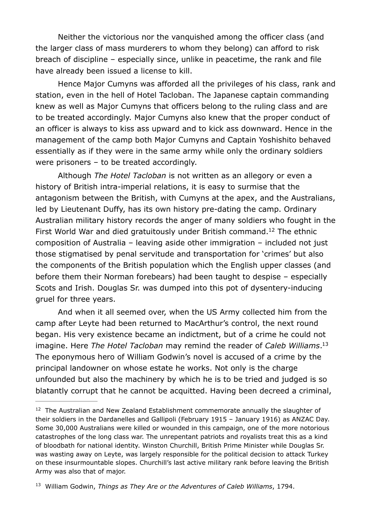Neither the victorious nor the vanquished among the officer class (and the larger class of mass murderers to whom they belong) can afford to risk breach of discipline – especially since, unlike in peacetime, the rank and file have already been issued a license to kill.

 Hence Major Cumyns was afforded all the privileges of his class, rank and station, even in the hell of Hotel Tacloban. The Japanese captain commanding knew as well as Major Cumyns that officers belong to the ruling class and are to be treated accordingly. Major Cumyns also knew that the proper conduct of an officer is always to kiss ass upward and to kick ass downward. Hence in the management of the camp both Major Cumyns and Captain Yoshishito behaved essentially as if they were in the same army while only the ordinary soldiers were prisoners – to be treated accordingly.

<span id="page-7-2"></span> Although *The Hotel Tacloban* is not written as an allegory or even a history of British intra-imperial relations, it is easy to surmise that the antagonism between the British, with Cumyns at the apex, and the Australians, led by Lieutenant Duffy, has its own history pre-dating the camp. Ordinary Australian military history records the anger of many soldiers who fought in the First World War and died gratuitously under British command.<sup>[12](#page-7-0)</sup> The ethnic composition of Australia – leaving aside other immigration – included not just those stigmatised by penal servitude and transportation for 'crimes' but also the components of the British population which the English upper classes (and before them their Norman forebears) had been taught to despise – especially Scots and Irish. Douglas Sr. was dumped into this pot of dysentery-inducing gruel for three years.

<span id="page-7-3"></span> And when it all seemed over, when the US Army collected him from the camp after Leyte had been returned to MacArthur's control, the next round began. His very existence became an indictment, but of a crime he could not imagine. Here *The Hotel Tacloban* may remind the reader of *Caleb Williams*. [13](#page-7-1) The eponymous hero of William Godwin's novel is accused of a crime by the principal landowner on whose estate he works. Not only is the charge unfounded but also the machinery by which he is to be tried and judged is so blatantly corrupt that he cannot be acquitted. Having been decreed a criminal,

<span id="page-7-0"></span> $12$  The Australian and New Zealand Establishment commemorate annually the slaughter of their soldiers in the Dardanelles and Gallipoli (February 1915 – January 1916) as ANZAC Day. Some 30,000 Australians were killed or wounded in this campaign, one of the more notorious catastrophes of the long class war. The unrepentant patriots and royalists treat this as a kind of bloodbath for national identity. Winston Churchill, British Prime Minister while Douglas Sr. was wasting away on Leyte, was largely responsible for the political decision to attack Turkey on these insurmountable slopes. Churchill's last active military rank before leaving the British Army was also that of major.

<span id="page-7-1"></span><sup>&</sup>lt;sup>[13](#page-7-3)</sup> William Godwin, *Things as They Are or the Adventures of Caleb Williams*, 1794.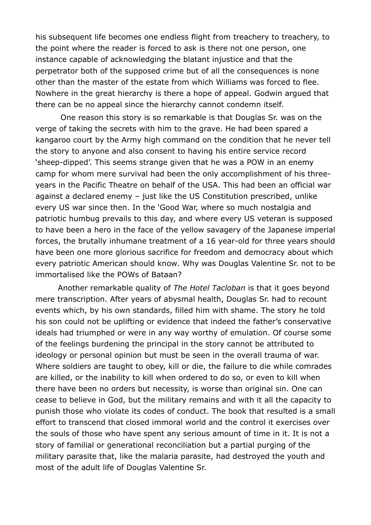his subsequent life becomes one endless flight from treachery to treachery, to the point where the reader is forced to ask is there not one person, one instance capable of acknowledging the blatant injustice and that the perpetrator both of the supposed crime but of all the consequences is none other than the master of the estate from which Williams was forced to flee. Nowhere in the great hierarchy is there a hope of appeal. Godwin argued that there can be no appeal since the hierarchy cannot condemn itself.

 One reason this story is so remarkable is that Douglas Sr. was on the verge of taking the secrets with him to the grave. He had been spared a kangaroo court by the Army high command on the condition that he never tell the story to anyone and also consent to having his entire service record 'sheep-dipped'. This seems strange given that he was a POW in an enemy camp for whom mere survival had been the only accomplishment of his threeyears in the Pacific Theatre on behalf of the USA. This had been an official war against a declared enemy - just like the US Constitution prescribed, unlike every US war since then. In the 'Good War, where so much nostalgia and patriotic humbug prevails to this day, and where every US veteran is supposed to have been a hero in the face of the yellow savagery of the Japanese imperial forces, the brutally inhumane treatment of a 16 year-old for three years should have been one more glorious sacrifice for freedom and democracy about which every patriotic American should know. Why was Douglas Valentine Sr. not to be immortalised like the POWs of Bataan?

 Another remarkable quality of *The Hotel Tacloban* is that it goes beyond mere transcription. After years of abysmal health, Douglas Sr. had to recount events which, by his own standards, filled him with shame. The story he told his son could not be uplifting or evidence that indeed the father's conservative ideals had triumphed or were in any way worthy of emulation. Of course some of the feelings burdening the principal in the story cannot be attributed to ideology or personal opinion but must be seen in the overall trauma of war. Where soldiers are taught to obey, kill or die, the failure to die while comrades are killed, or the inability to kill when ordered to do so, or even to kill when there have been no orders but necessity, is worse than original sin. One can cease to believe in God, but the military remains and with it all the capacity to punish those who violate its codes of conduct. The book that resulted is a small effort to transcend that closed immoral world and the control it exercises over the souls of those who have spent any serious amount of time in it. It is not a story of familial or generational reconciliation but a partial purging of the military parasite that, like the malaria parasite, had destroyed the youth and most of the adult life of Douglas Valentine Sr.